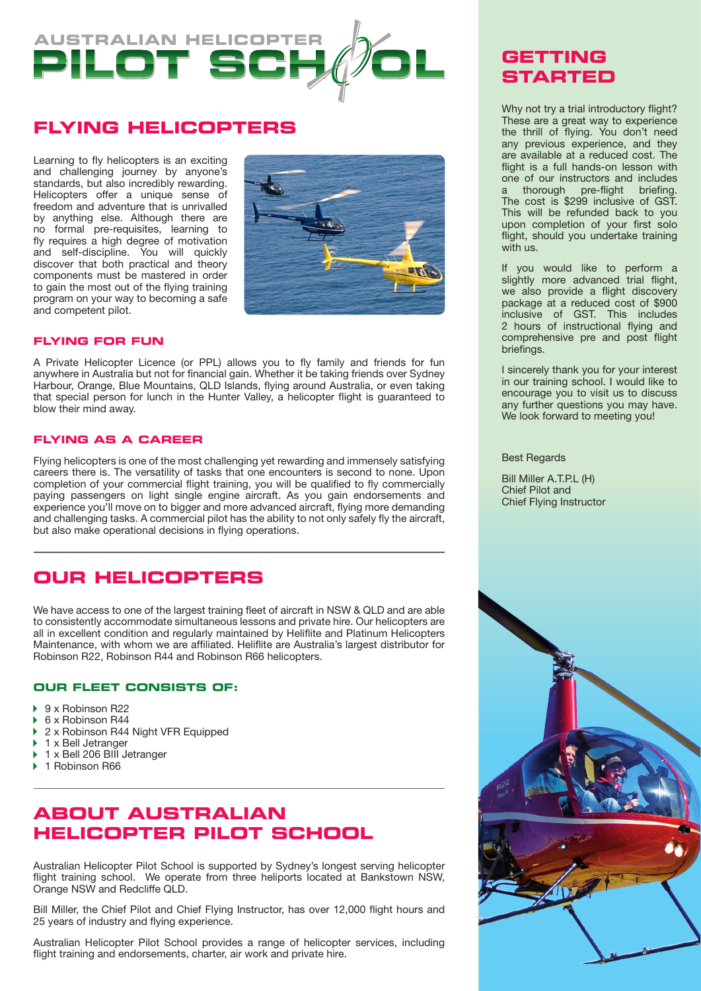

## **Flying Helicopters**

Learning to fly helicopters is an exciting and challenging journey by anyone's standards, but also incredibly rewarding. Helicopters offer a unique sense of freedom and adventure that is unrivalled by anything else. Although there are no formal pre-requisites, learning to fly requires a high degree of motivation and self-discipline. You will quickly discover that both practical and theory components must be mastered in order to gain the most out of the flying training program on your way to becoming a safe and competent pilot.



### **Flying for fun**

A Private Helicopter Licence (or PPL) allows you to fly family and friends for fun anywhere in Australia but not for financial gain. Whether it be taking friends over Sydney Harbour, Orange, Blue Mountains, QLD Islands, flying around Australia, or even taking that special person for lunch in the Hunter Valley, a helicopter flight is guaranteed to blow their mind away.

#### **Flying as a career**

Flying helicopters is one of the most challenging yet rewarding and immensely satisfying careers there is. The versatility of tasks that one encounters is second to none. Upon completion of your commercial flight training, you will be qualified to fly commercially paying passengers on light single engine aircraft. As you gain endorsements and experience you'll move on to bigger and more advanced aircraft, flying more demanding and challenging tasks. A commercial pilot has the ability to not only safely fly the aircraft, but also make operational decisions in flying operations.

## **OUR HELICOPTERS**

We have access to one of the largest training fleet of aircraft in NSW & QLD and are able to consistently accommodate simultaneous lessons and private hire. Our helicopters are all in excellent condition and regularly maintained by Heliflite and Platinum Helicopters Maintenance, with whom we are affiliated. Heliflite are Australia's largest distributor for Robinson R22, Robinson R44 and Robinson R66 helicopters.

### **Our fleet consists of:**

- 9 x Robinson R22 ь
- 6 x Robinson R44 b
- 2 x Robinson R44 Night VFR Equipped ь
- 1 x Bell Jetranger
- 1 x Bell 206 BIII Jetranger K
- 1 Robinson R66 ь

# **About Australian Helicopter Pilot School**

Australian Helicopter Pilot School is supported by Sydney's longest serving helicopter flight training school. We operate from three heliports located at Bankstown NSW, Orange NSW and Redcliffe QLD.

Bill Miller, the Chief Pilot and Chief Flying Instructor, has over 12,000 flight hours and 25 years of industry and flying experience.

Australian Helicopter Pilot School provides a range of helicopter services, including flight training and endorsements, charter, air work and private hire.

# **GETTING STARTED**

Why not try a trial introductory flight? These are a great way to experience the thrill of flying. You don't need any previous experience, and they are available at a reduced cost. The flight is a full hands-on lesson with one of our instructors and includes a thorough pre-flight briefing. The cost is \$299 inclusive of GST. This will be refunded back to you upon completion of your first solo flight, should you undertake training with us.

If you would like to perform a slightly more advanced trial flight, we also provide a flight discovery package at a reduced cost of \$900 inclusive of GST. This includes 2 hours of instructional flying and comprehensive pre and post flight briefings.

I sincerely thank you for your interest in our training school. I would like to encourage you to visit us to discuss any further questions you may have. We look forward to meeting you!

Best Regards

Bill Miller A.T.P.L (H) Chief Pilot and Chief Flying Instructor